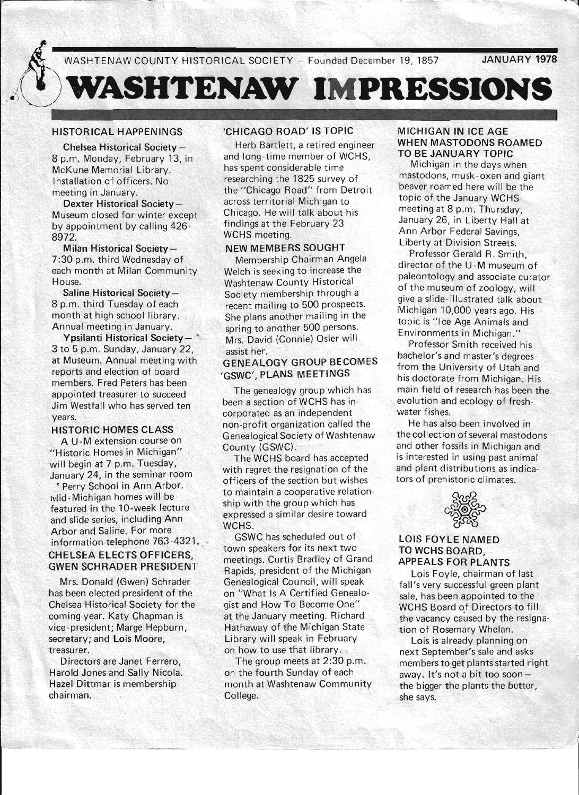**JANUARY 1978** 

# **ASHTENAW IMPRESSIONS**

# HISTORICAL HAPPENINGS

Chelsea Historical Society-8 p.m. Monday, February 13, in McKune Memorial Library. Installation of officers. No meeting in January.

Dexter Historical Society-Museum closed for winter except by appointment by calling 426- 8972.

Milan Historical Society-7:30 p.m. third Wednesday of each month at Milan Community House.

Saline Historical Society-8 p.m. third Tuesday of each month at high school library. Annual meeting in January.

Ypsilanti Historical Society- \* 3 to 5 p.m. Sunday, January 22, at Museum. Annual meeting with reports and election of board members. Fred Peters has been appointed treasurer to succeed Jim Westfall who has served ten years.

### HISTORIC-HOMES CLASS

A U-M extension course on " Historic Homes in Michigan" will begin at 7 p.m. Tuesday, January 24, in the seminar room

< Perry School in Ann Arbor. wiid - Michigan homes will be featured in the 10-week lecture and slide series, including Ann Arbor and Saline. For more information telephone 763-4321. CHELSEA ELECTS OFFICERS, GWEN SCHRADER PRESIDENT

Mrs. Donald (Gwen) Schrader has been elected president of the Chelsea Historical Society for the coming year. Katy Chapman is vice- president; Marge Hepburn, secretary; and Lois Moore, treasurer.

Directors are Janet Ferrero, Harold Jones and Sally Nicola. Hazel Dittmar is membership chairman.

## 'CHICAGO ROAD' IS TOPIC

Herb Bartlett, a retired engineer and long -time member of WCHS, has spent considerable time researching the 1825 survey of the "Chicago Road" from Detroit across territorial Michigan to Chicago. He will talk about his findings at the February 23 WCHS meeting.

### NEW MEMBERS SOUGHT

Membership Chairman Angela Welch is seeking to increase the Washtenaw County Historical Society membership through a recent mailing to 500 prospects. She plans another mailing in the spring to another 500 persons. Mrs. David (Connie) Osler will assist her.

# GENEALOGY GROUP BECOMES 'GSWC', PLANS MEETINGS

The genealogy group which has been a section of WCHS has incorporated as an independent non-profit organization called the Genealogical Society of Washtenaw County (GSWC).

The WCHS board has accepted with regret the resignation of the officers of the section but wishes to maintain a cooperative relationship with the group which has expressed a similar desire toward WCHS.

GSWC bias scheduled out of town speakers for its next two meetings. Curtis Bradley of Grand Rapids, president of the Michigan Genealogical Council, will speak on "What Is A Certified Genealogist and How To Become One" at the January meeting. Richard Hathaway of the Michigan State Library will speak in February on how to use that library.

The group meets at 2:30 p.m. on the fourth Sunday of each month at Washtenaw Community College.

### MICHIGAN IN ICE AGE WHEN MASTODONS ROAMED TO BE JANUARY TOPIC

Michigan in the days when mastodons, musk -oxen and giant beaver roamed here will be the topic of the January WCHS meeting at 8 p.m. Thursday, January 26, in Liberty Hall at Ann Arbor Federal Savings, Liberty at Division Streets.

Professor Gerald R. Smith, director of the U -M museum of paleontology and associate curator of the museum of zoology, will give a slide- illustrated talk about Michigan 10,000 years ago. His topic is "Ice Age Animals and Environments in Michigan."

Professor Smith received his bachelor's and master's degrees from the University of Utah and his doctorate from Michigan. His main field of research has been the evolution and ecology of freshwater fishes.

He has also been involved in the collection of several mastodons and other fossils in Michigan and is interested in using past animal and plant distributions as indicators of prehistoric climates.



### LOIS FOYLE NAMED TO WCHS BOARD, APPEALS FOR PLANTS

Lois Foyle, chairman of last fall's very successful green plant sale, has been appointed to the WCHS Board of Directors to fill the vacancy caused by the resignation of Rosemary Whelan.

Lois is already planning on next September's sale and asks members to get plants started right away. It's not a bit too soonthe bigger the plants the better, she says.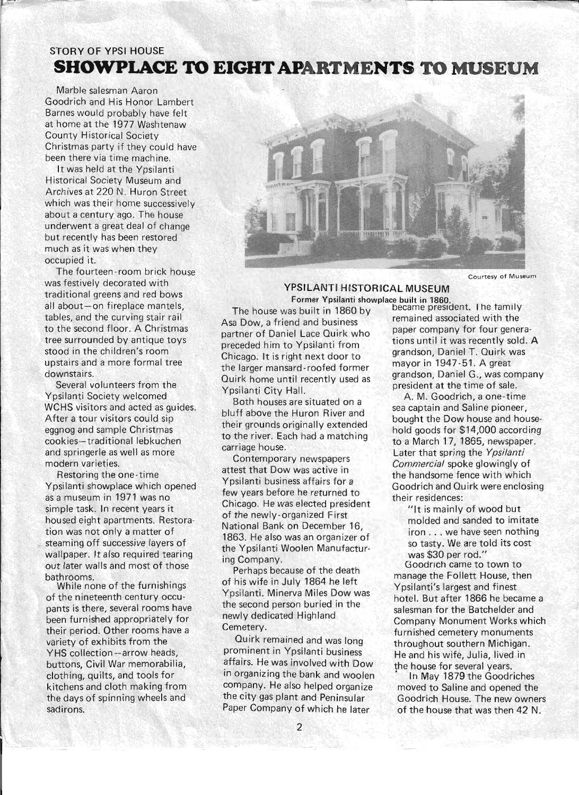# STORY OF YPSI HOUSE **SHOWPLACE TO EIGHT APARTMENTS TO MUSEUM**

Marble salesman Aaron Goodrich and His Honor Lambert Barnes would probably have felt at home at the 1977 Washtenaw County Historical Society Christmas party if they could have been there via time machine,

It was held at the Ypsilanti Historical Society Museum and Archives at 220 N. Huron Street which was their home successively about a century ago. The house underwent a great deal of change but recently has been restored much as it was when they occupied it.

The fourteen -room brick house was festively decorated with traditional greens and red bows all about-on fireplace mantels. tables, and the curving stair rail to the second floor, A Christmas tree surrounded by antique toys stood in the children's room upstairs and a more formal tree downstairs,

Several volunteers from the Ypsilanti Society welcomed WCHS visitors and acted as guides, After a tour visitors could sip eggnog and sample Christmas cookies-traditional lebkuchen and springerle as well as more modern varieties.

Restoring the one-time Ypsilanti showplace which opened as a museum in 1971 was no simple task. In recent years it housed eight apartments, Restoration was not only a matter of steaming off successive layers of wallpaper. It also required tearing out later walls and most of those bathrooms.

While none of the furnishings of the nineteenth century occupants is there, several rooms have been furn ished appropriately for their period. Other rooms have a variety of exhibits from the YHS collection-arrow heads, buttons, Civil War memorabilia, clothing, quilts, and tools for kitchens and cloth making from the days of spinning wheels and sadirons.



Courtesy of Museum

**1** 

## YPSILANTI HISTORICAL MUSEUM Former Ypsilanti showplace built in 1860. \_

The house was built in 1860 by became president. The family Asa Dow, a friend and business<br>remained associated with the<br>paper company for four generapartner of Daniel Lace Quirk who apper company for four genera-<br>merceded him to Vosilanti from tions until it was recently sold. A preceded him to Ypsilanti from tions until it was recently sold.<br>Chicago, It is right pout door to grandson, Daniel T. Quirk was Chicago, It is right next door to grandson, Daniel T, Quirk was determined by the chicago. It is right next door the larger mansard-roofed former mayor in 1947-51. A great<br>Contribution of the man are mandson. Daniel G., was company Quirk home until recently used as Your Carry Thome and Tecentry asset as president at the time of sale.<br>
Position Both houses are situated on a The M. Goodrich, a one-time Example and Solution in the Dow house and hot<br>
icago. It is right next door to<br>
larger mansard-roofed former<br>
irk home until recently used as<br>
silanti City Hall.<br>
Both houses are situated on a<br>
if above the Huron River and

both houses are situated on a<br>bluff above the Huron River and the sea captain and Saline pioneer, to the river. Each had a matching to a March 17, 1865, newspaper.<br>carriage house.

Contemporary newspapers *Commercial* spoke glowingly of attest that Dow was active in the handsome fence with which<br>Yosilanti business affairs for a few years before he returned to their residences: Chicago, He was elected president "It is mainly of wood but<br>of the newly-organized First "It is mainly of wood but of the newly-organized First molded and sanded to imitate<br>National Bank on December 16, National Bank on December 16, iron ... we have seen nothing 1863. He also was an organizer of the Ypsilanti Woolen Manufactur-<br>"ing Company.<br>"Seadweb arms to

Perhaps because of the death manage the Follett House, then<br>of his wife in July 1864 he left Mesilenti's lowest and finest of his wife in July 1864 he left Ypsilanti's largest and finest<br>Ypsilanti, Minerva Miles Dow was a shatel, But after 1966 he bee the second person buried in the salesman for the Batchelder and<br>newly dedicated Highland

Quirk remained and was long<br>prominent in Ypsilanti business and he and his wife lulia lived in affairs. He was involved with Dow the house for several years. in organizing the bank and woolen <sup>i</sup> In May 1879 the Goodriches company. He also helped organize moved to Saline and opened the the city gas plant and Peninsular Goodrich House. The new owners

bought the Dow house and house-<br>their grounds originally extended their grounds originally extended hold goods for \$14,000 according<br>to the river. Each had a matching carriage house.<br>Contemporary newspapers<br>Component of the development of the *Ypsilanti* Goodrich and Quirk were enclosing

so tasty. We are told its cost

g Company.<br>Perhaps because of the death Goodrich came to town to Ypsilanti. Minerva Miles Dow was hotel. But after 1866 he became a the second person buried in the second part in the Retable and newly dedicated Highland Company Monument Works which<br>Cemetery. **Company Monument Works** which metery.<br>Quirk remained and was long<br>throughout southern Michigan He and his wife, Julia, lived in

Paper Company of which he later of the house that was then 42 N.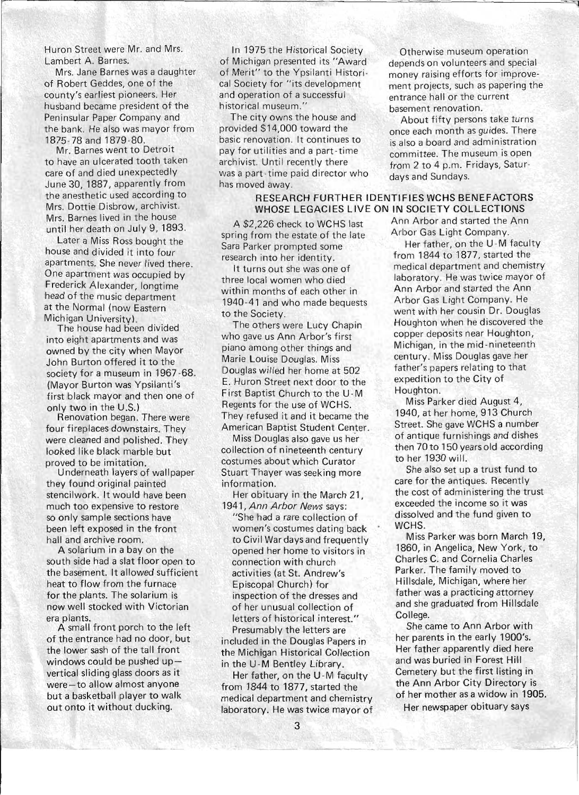Huron Street were Mr. and Mrs. Lambert A. Barnes.

Mrs. Jane Barnes was a daughter of Robert Geddes, one of the county's earliest pioneers. Her husband became president of the Peninsular Paper Company and the bank. He also was mayor from 1875-78 and 1879-80.

Mr. Barnes went to Detroit to have an ulcerated tooth taken care of and died unexpectedly June 30, 1887, apparently from the anesthetic used according to Mrs. Dottie Disbrow, archivist. Mrs. Barnes lived in the house until her death on July 9, 1893.

Later a Miss Ross bought the house and divided it into four apartments. She never lived there. One apartment was occupied by Frederick Alexander, longtime head of the music department at the Normal (now Eastern Michigan University)

The house had been divided into eight apartments and was owned by the city when Mayor John Burton offered it to the society for a museum in 1967 -68. (Mayor Burton was Ypsilanti's first black mayor and then one of only two in the U.S.)

Renovation began. There were four fireplaces downstairs. They were cleaned and polished. They looked like black marble but proved to be imitation.

Underneath layers of wallpaper they found original painted stencilwork. It would have been much too expensive to restore so only sample sections have been left exposed in the front hall and archive room.

A solarium in a bay on the south side had a slat floor open to the basement. It allowed sufficient heat to flow from the furnace for the plants. The solarium is now well stocked with Victorian era plants.

A small front porch to the left of the entrance had no door, but the lower sash of the tall front windows could be pushed upvertical sliding glass doors as it were-to allow almost anyone but a basketball player to walk out onto it without ducking.

In 1975 the Historical Society of Michigan presented its "Award of Merit" to the Ypsilanti Historical Society for "its development and operation of a successful historical museum."

The city owns the house and provided \$14,000 toward the basic renovation. It continues to pay for utilities and a part-time archivist. Until recently there was a part-time paid director who has moved away.

# RESEARCH FURTHER IDENTIFIES WCHS BENEFACTORS WHOSE LEGACIES LIVE ON IN SOCIETY COLLECTIONS

spring from the estate of the late Arbor Gas Light Company. research into her identity. from 1844 to 1877, started the

within months of each other in Ann Arbor and started the Ann 1940-41 and who made bequests Arbor Gas Light Company. He

who gave us Ann Arbor's first copper deposits near Houghton, piano among other things and Michigan, in the mid-nineteenth Marie Louise Douglas. Miss century. Miss Douglas gave her Douglas willed her home at 502 father's papers relating to that E. Huron Street next door to the expedition to the City of First Baptist Church to the U-M Houghton. Regents for the use of WCHS. Miss Parker died August 4, They refused it and it became the 1940, at her home, 913 Church American Baptist Student Center. Street. She gave WCHS a number

costumes about which Curator to her 1930 will. Stuart Thayer was seeking more She also set up a trust fund to information. **care for the antiques. Recently** 

1941, Ann Arbor News says: exceeded the income so it was

women's costumes dating back WCHS. activities (at St. Andrew's Parker. The family moved to Episcopal Church) for Hillsdale, Michigan, where her letters of historical interest." College.

included in the Douglas Papers in her parents in the early 1900's. the Michigan Historical Collection Her father apparently died here in the U-M Bentley Library. and was buried in Forest Hill

from 1844 to 1877, started the the Ann Arbor City Directory is laboratory. He was twice mayor of Her newspaper obituary says

Otherwise museum operation depends on volunteers and special money raising efforts for improvement projects, such as papering the entrance hall or the current basement renovation.

About fifty persons take turns once each month as guides. There is also a board and administration committee. The museum is open from 2 to 4 p.m. Fridays, Saturdays and Sundays.

A \$2,226 check to WCHS last Ann Arbor and started the Ann

Sara Parker prompted some Her father, on the U-M faculty It turns out she was one of medical department and chemistry three local women who died laboratory. He was twice mayor of to the Society. went with her cousin Dr. Douglas The others were Lucy Chapin Houghton when he discovered the

Miss Douglas also gave us her of antique furnishings and dishes collection of nineteenth century then 70 to 150 years old according

Her obituary in the March 21, the cost of administering the trust "She had a rare collection of dissolved and the fund given to

to Civil War days and frequently Miss Parker was born March 19, opened her home to visitors in 1860, in Angelica, New York, to connection with church Charles C. and Cornelia Charles inspection of the dresses and father was a practicing attorney of her unusual collection of and she graduated from Hillsdale

Presumably the letters are She came to Ann Arbor with Her father, on the U-M faculty Cemetery but the first listing in medical department and chemistry of her mother as a widow in 1905.

 $\sim -1$